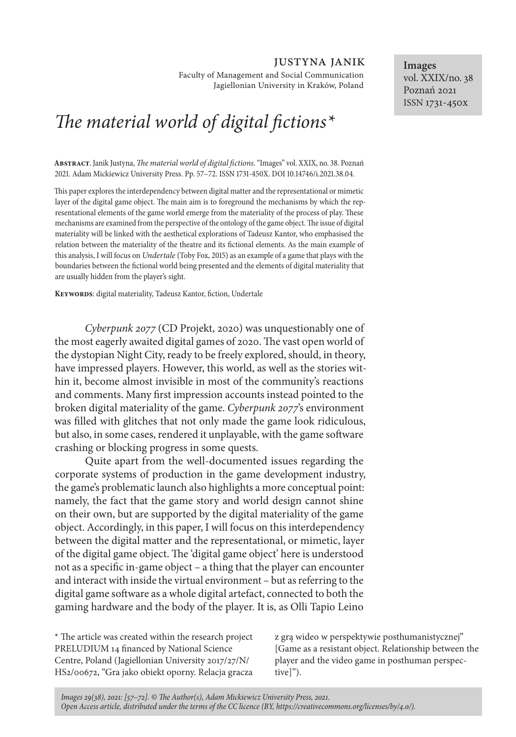justyna janik

Faculty of Management and Social Communication Jagiellonian University in Kraków, Poland

# *The material world of digital fictions\**

**Abstract**. Janik Justyna, *The material world of digital fictions*. "Images" vol. XXIX, no. 38. Poznań 2021. Adam Mickiewicz University Press. Pp. 57–72. ISSN 1731-450X. DOI 10.14746/i.2021.38.04.

This paper explores the interdependency between digital matter and the representational or mimetic layer of the digital game object. The main aim is to foreground the mechanisms by which the representational elements of the game world emerge from the materiality of the process of play. These mechanisms are examined from the perspective of the ontology of the game object. The issue of digital materiality will be linked with the aesthetical explorations of Tadeusz Kantor, who emphasised the relation between the materiality of the theatre and its fictional elements. As the main example of this analysis, I will focus on *Undertale* (Toby Fox, 2015) as an example of a game that plays with the boundaries between the fictional world being presented and the elements of digital materiality that are usually hidden from the player's sight.

**Keywords**: digital materiality, Tadeusz Kantor, fiction, Undertale

*Cyberpunk 2077* (CD Projekt, 2020) was unquestionably one of the most eagerly awaited digital games of 2020. The vast open world of the dystopian Night City, ready to be freely explored, should, in theory, have impressed players. However, this world, as well as the stories within it, become almost invisible in most of the community's reactions and comments. Many first impression accounts instead pointed to the broken digital materiality of the game. *Cyberpunk 2077*'s environment was filled with glitches that not only made the game look ridiculous, but also, in some cases, rendered it unplayable, with the game software crashing or blocking progress in some quests.

Quite apart from the well-documented issues regarding the corporate systems of production in the game development industry, the game's problematic launch also highlights a more conceptual point: namely, the fact that the game story and world design cannot shine on their own, but are supported by the digital materiality of the game object. Accordingly, in this paper, I will focus on this interdependency between the digital matter and the representational, or mimetic, layer of the digital game object. The 'digital game object' here is understood not as a specific in-game object – a thing that the player can encounter and interact with inside the virtual environment – but as referring to the digital game software as a whole digital artefact, connected to both the gaming hardware and the body of the player. It is, as Olli Tapio Leino

\* The article was created within the research project PRELUDIUM 14 financed by National Science Centre, Poland (Jagiellonian University 2017/27/N/ HS2/00672, "Gra jako obiekt oporny. Relacja gracza

z grą wideo w perspektywie posthumanistycznej" [Game as a resistant object. Relationship between the player and the video game in posthuman perspective]").

*Images 29(38), 2021: [57–72]. © The Author(s), Adam Mickiewicz University Press, 2021. Open Access article, distributed under the terms of the CC licence (BY, https://creativecommons.org/licenses/by/4.0/).*

**Images** vol. XXIX/no. 38 Poznań 2021 ISSN 1731-450x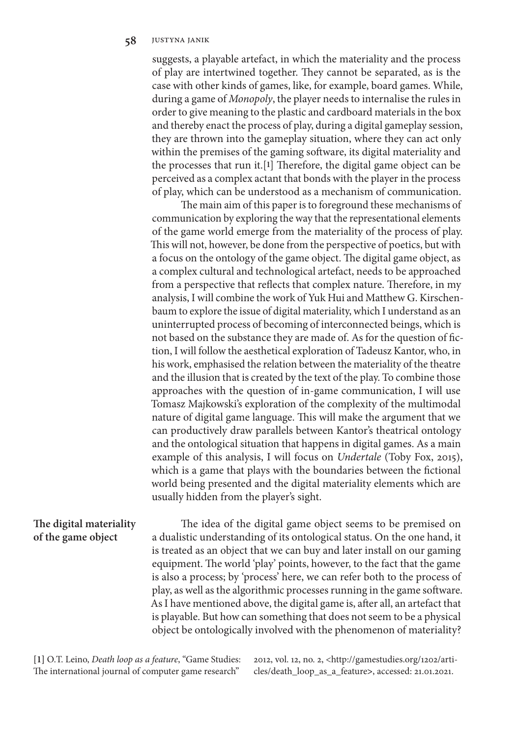suggests, a playable artefact, in which the materiality and the process of play are intertwined together. They cannot be separated, as is the case with other kinds of games, like, for example, board games. While, during a game of *Monopoly*, the player needs to internalise the rules in order to give meaning to the plastic and cardboard materials in the box and thereby enact the process of play, during a digital gameplay session, they are thrown into the gameplay situation, where they can act only within the premises of the gaming software, its digital materiality and the processes that run it.[**1**] Therefore, the digital game object can be perceived as a complex actant that bonds with the player in the process of play, which can be understood as a mechanism of communication.

The main aim of this paper is to foreground these mechanisms of communication by exploring the way that the representational elements of the game world emerge from the materiality of the process of play. This will not, however, be done from the perspective of poetics, but with a focus on the ontology of the game object. The digital game object, as a complex cultural and technological artefact, needs to be approached from a perspective that reflects that complex nature. Therefore, in my analysis, I will combine the work of Yuk Hui and Matthew G. Kirschenbaum to explore the issue of digital materiality, which I understand as an uninterrupted process of becoming of interconnected beings, which is not based on the substance they are made of. As for the question of fiction, I will follow the aesthetical exploration of Tadeusz Kantor, who, in his work, emphasised the relation between the materiality of the theatre and the illusion that is created by the text of the play. To combine those approaches with the question of in-game communication, I will use Tomasz Majkowski's exploration of the complexity of the multimodal nature of digital game language. This will make the argument that we can productively draw parallels between Kantor's theatrical ontology and the ontological situation that happens in digital games. As a main example of this analysis, I will focus on *Undertale* (Toby Fox, 2015), which is a game that plays with the boundaries between the fictional world being presented and the digital materiality elements which are usually hidden from the player's sight.

## **The digital materiality of the game object**

The idea of the digital game object seems to be premised on a dualistic understanding of its ontological status. On the one hand, it is treated as an object that we can buy and later install on our gaming equipment. The world 'play' points, however, to the fact that the game is also a process; by 'process' here, we can refer both to the process of play, as well as the algorithmic processes running in the game software. As I have mentioned above, the digital game is, after all, an artefact that is playable. But how can something that does not seem to be a physical object be ontologically involved with the phenomenon of materiality?

**[1]** O.T. Leino, *Death loop as a feature*, "Game Studies: The international journal of computer game research"

2012, vol. 12, no. 2, <http://gamestudies.org/1202/articles/death\_loop\_as\_a\_feature**>**, accessed: 21.01.2021.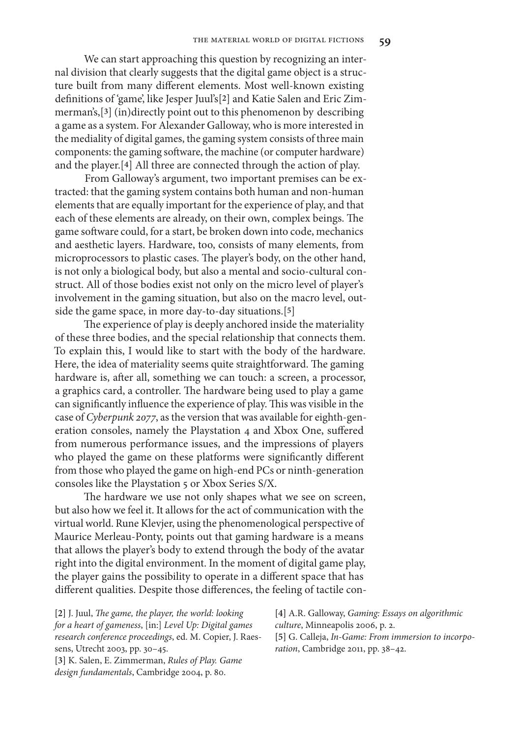We can start approaching this question by recognizing an internal division that clearly suggests that the digital game object is a structure built from many different elements. Most well-known existing definitions of 'game', like Jesper Juul's[**2**] and Katie Salen and Eric Zimmerman's,[**3**] (in)directly point out to this phenomenon by describing a game as a system. For Alexander Galloway, who is more interested in the mediality of digital games, the gaming system consists of three main components: the gaming software, the machine (or computer hardware) and the player.[**4**] All three are connected through the action of play.

From Galloway's argument, two important premises can be extracted: that the gaming system contains both human and non-human elements that are equally important for the experience of play, and that each of these elements are already, on their own, complex beings. The game software could, for a start, be broken down into code, mechanics and aesthetic layers. Hardware, too, consists of many elements, from microprocessors to plastic cases. The player's body, on the other hand, is not only a biological body, but also a mental and socio-cultural construct. All of those bodies exist not only on the micro level of player's involvement in the gaming situation, but also on the macro level, outside the game space, in more day-to-day situations.[**5**]

The experience of play is deeply anchored inside the materiality of these three bodies, and the special relationship that connects them. To explain this, I would like to start with the body of the hardware. Here, the idea of materiality seems quite straightforward. The gaming hardware is, after all, something we can touch: a screen, a processor, a graphics card, a controller. The hardware being used to play a game can significantly influence the experience of play. This was visible in the case of *Cyberpunk 2077*, as the version that was available for eighth-generation consoles, namely the Playstation 4 and Xbox One, suffered from numerous performance issues, and the impressions of players who played the game on these platforms were significantly different from those who played the game on high-end PCs or ninth-generation consoles like the Playstation 5 or Xbox Series S/X.

The hardware we use not only shapes what we see on screen, but also how we feel it. It allows for the act of communication with the virtual world. Rune Klevjer, using the phenomenological perspective of Maurice Merleau-Ponty, points out that gaming hardware is a means that allows the player's body to extend through the body of the avatar right into the digital environment. In the moment of digital game play, the player gains the possibility to operate in a different space that has different qualities. Despite those differences, the feeling of tactile con-

**[2]** J. Juul, *The game, the player, the world: looking for a heart of gameness*, [in:] *Level Up: Digital games research conference proceedings*, ed. M. Copier, J. Raessens, Utrecht 2003, pp. 30–45. **[3]** K. Salen, E. Zimmerman, *Rules of Play. Game design fundamentals*, Cambridge 2004, p. 80.

**[4]** A.R. Galloway, *Gaming: Essays on algorithmic culture*, Minneapolis 2006, p. 2. **[5]** G. Calleja, *In-Game: From immersion to incorporation*, Cambridge 2011, pp. 38–42.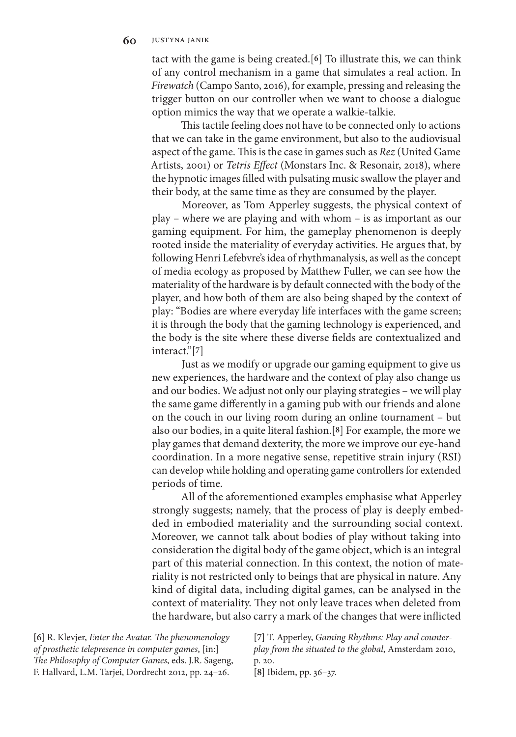tact with the game is being created.[**6**] To illustrate this, we can think of any control mechanism in a game that simulates a real action. In *Firewatch* (Campo Santo, 2016), for example, pressing and releasing the trigger button on our controller when we want to choose a dialogue option mimics the way that we operate a walkie-talkie.

This tactile feeling does not have to be connected only to actions that we can take in the game environment, but also to the audiovisual aspect of the game. This is the case in games such as *Rez* (United Game Artists, 2001) or *Tetris Effect* (Monstars Inc. & Resonair, 2018), where the hypnotic images filled with pulsating music swallow the player and their body, at the same time as they are consumed by the player.

Moreover, as Tom Apperley suggests, the physical context of play – where we are playing and with whom – is as important as our gaming equipment. For him, the gameplay phenomenon is deeply rooted inside the materiality of everyday activities. He argues that, by following Henri Lefebvre's idea of rhythmanalysis, as well as the concept of media ecology as proposed by Matthew Fuller, we can see how the materiality of the hardware is by default connected with the body of the player, and how both of them are also being shaped by the context of play: "Bodies are where everyday life interfaces with the game screen; it is through the body that the gaming technology is experienced, and the body is the site where these diverse fields are contextualized and interact."[**7**]

Just as we modify or upgrade our gaming equipment to give us new experiences, the hardware and the context of play also change us and our bodies. We adjust not only our playing strategies – we will play the same game differently in a gaming pub with our friends and alone on the couch in our living room during an online tournament – but also our bodies, in a quite literal fashion.[**8**] For example, the more we play games that demand dexterity, the more we improve our eye-hand coordination. In a more negative sense, repetitive strain injury (RSI) can develop while holding and operating game controllers for extended periods of time.

All of the aforementioned examples emphasise what Apperley strongly suggests; namely, that the process of play is deeply embedded in embodied materiality and the surrounding social context. Moreover, we cannot talk about bodies of play without taking into consideration the digital body of the game object, which is an integral part of this material connection. In this context, the notion of materiality is not restricted only to beings that are physical in nature. Any kind of digital data, including digital games, can be analysed in the context of materiality. They not only leave traces when deleted from the hardware, but also carry a mark of the changes that were inflicted

**[6]** R. Klevjer, *Enter the Avatar. The phenomenology of prosthetic telepresence in computer games*, [in:] *The Philosophy of Computer Games*, eds. J.R. Sageng, F. Hallvard, L.M. Tarjei, Dordrecht 2012, pp. 24–26.

**[7]** T. Apperley, *Gaming Rhythms: Play and counterplay from the situated to the global*, Amsterdam 2010, p. 20. **[8]** Ibidem, pp. 36–37.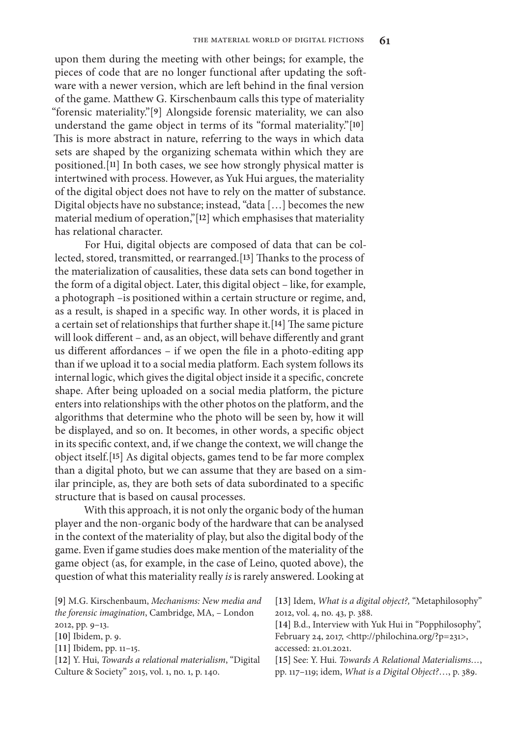upon them during the meeting with other beings; for example, the pieces of code that are no longer functional after updating the software with a newer version, which are left behind in the final version of the game. Matthew G. Kirschenbaum calls this type of materiality "forensic materiality."[**9**] Alongside forensic materiality, we can also understand the game object in terms of its "formal materiality."[**10**] This is more abstract in nature, referring to the ways in which data sets are shaped by the organizing schemata within which they are positioned.[**11**] In both cases, we see how strongly physical matter is intertwined with process. However, as Yuk Hui argues, the materiality of the digital object does not have to rely on the matter of substance. Digital objects have no substance; instead, "data […] becomes the new material medium of operation,"[**12**] which emphasises that materiality has relational character.

For Hui, digital objects are composed of data that can be collected, stored, transmitted, or rearranged.[**13**] Thanks to the process of the materialization of causalities, these data sets can bond together in the form of a digital object. Later, this digital object – like, for example, a photograph –is positioned within a certain structure or regime, and, as a result, is shaped in a specific way. In other words, it is placed in a certain set of relationships that further shape it.[**14**] The same picture will look different – and, as an object, will behave differently and grant us different affordances – if we open the file in a photo-editing app than if we upload it to a social media platform. Each system follows its internal logic, which gives the digital object inside it a specific, concrete shape. After being uploaded on a social media platform, the picture enters into relationships with the other photos on the platform, and the algorithms that determine who the photo will be seen by, how it will be displayed, and so on. It becomes, in other words, a specific object in its specific context, and, if we change the context, we will change the object itself.[**15**] As digital objects, games tend to be far more complex than a digital photo, but we can assume that they are based on a similar principle, as, they are both sets of data subordinated to a specific structure that is based on causal processes.

With this approach, it is not only the organic body of the human player and the non-organic body of the hardware that can be analysed in the context of the materiality of play, but also the digital body of the game. Even if game studies does make mention of the materiality of the game object (as, for example, in the case of Leino, quoted above), the question of what this materiality really *is* is rarely answered. Looking at

| [9] M.G. Kirschenbaum, Mechanisms: New media and         | [13] Idem, <i>What is a digital object?</i> , "Metaphilosophy" |
|----------------------------------------------------------|----------------------------------------------------------------|
| the forensic imagination, Cambridge, MA, - London        | 2012, vol. 4, no. 43, p. 388.                                  |
| 2012, pp. 9-13.                                          | [14] B.d., Interview with Yuk Hui in "Popphilosophy",          |
| [10] Ibidem, p. 9.                                       | February 24, 2017, <http: ?p="231" philochina.org="">,</http:> |
| $[11]$ Ibidem, pp. 11–15.                                | accessed: 21.01.2021.                                          |
| [12] Y. Hui, Towards a relational materialism, "Digital" | [15] See: Y. Hui. Towards A Relational Materialisms,           |
| Culture & Society" 2015, vol. 1, no. 1, p. 140.          | pp. 117–119; idem, <i>What is a Digital Object</i> ?, p. 389.  |
|                                                          |                                                                |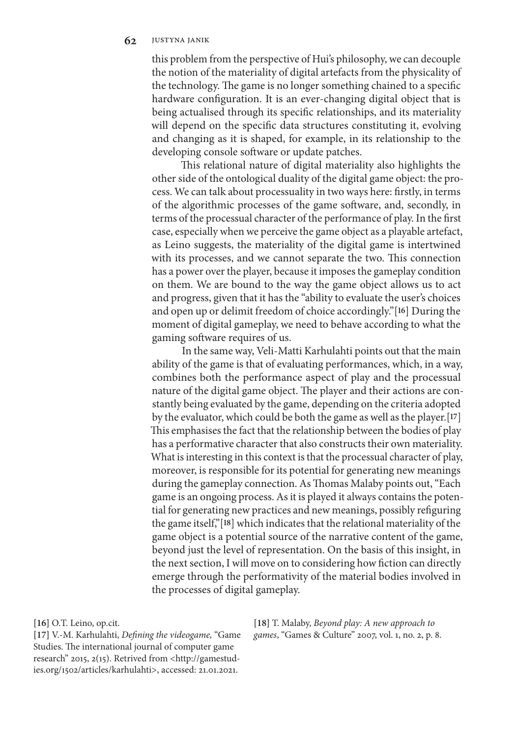this problem from the perspective of Hui's philosophy, we can decouple the notion of the materiality of digital artefacts from the physicality of the technology. The game is no longer something chained to a specific hardware configuration. It is an ever-changing digital object that is being actualised through its specific relationships, and its materiality will depend on the specific data structures constituting it, evolving and changing as it is shaped, for example, in its relationship to the developing console software or update patches.

This relational nature of digital materiality also highlights the other side of the ontological duality of the digital game object: the process. We can talk about processuality in two ways here: firstly, in terms of the algorithmic processes of the game software, and, secondly, in terms of the processual character of the performance of play. In the first case, especially when we perceive the game object as a playable artefact, as Leino suggests, the materiality of the digital game is intertwined with its processes, and we cannot separate the two. This connection has a power over the player, because it imposes the gameplay condition on them. We are bound to the way the game object allows us to act and progress, given that it has the "ability to evaluate the user's choices and open up or delimit freedom of choice accordingly."[**16**] During the moment of digital gameplay, we need to behave according to what the gaming software requires of us.

In the same way, Veli-Matti Karhulahti points out that the main ability of the game is that of evaluating performances, which, in a way, combines both the performance aspect of play and the processual nature of the digital game object. The player and their actions are constantly being evaluated by the game, depending on the criteria adopted by the evaluator, which could be both the game as well as the player.[**17**] This emphasises the fact that the relationship between the bodies of play has a performative character that also constructs their own materiality. What is interesting in this context is that the processual character of play, moreover, is responsible for its potential for generating new meanings during the gameplay connection. As Thomas Malaby points out, "Each game is an ongoing process. As it is played it always contains the potential for generating new practices and new meanings, possibly refiguring the game itself,"[**18**] which indicates that the relational materiality of the game object is a potential source of the narrative content of the game, beyond just the level of representation. On the basis of this insight, in the next section, I will move on to considering how fiction can directly emerge through the performativity of the material bodies involved in the processes of digital gameplay.

**[16]** O.T. Leino, op.cit.

**[17]** V.-M. Karhulahti, *Defining the videogame,* "Game Studies. The international journal of computer game research" 2015, 2(15). Retrived from <http://gamestudies.org/1502/articles/karhulahti>, accessed: 21.01.2021.

**[18]** T. Malaby, *Beyond play: A new approach to games*, "Games & Culture" 2007, vol. 1, no. 2, p. 8.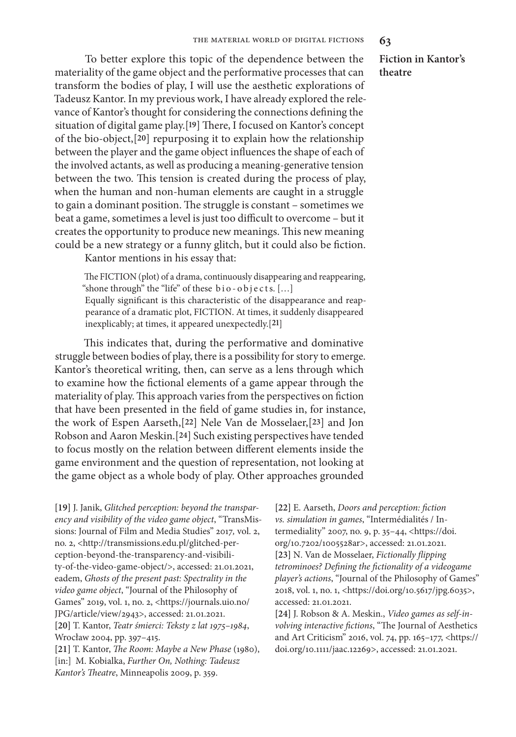To better explore this topic of the dependence between the materiality of the game object and the performative processes that can transform the bodies of play, I will use the aesthetic explorations of Tadeusz Kantor. In my previous work, I have already explored the relevance of Kantor's thought for considering the connections defining the situation of digital game play.[**19**] There, I focused on Kantor's concept of the bio-object,[**20**] repurposing it to explain how the relationship between the player and the game object influences the shape of each of the involved actants, as well as producing a meaning-generative tension between the two. This tension is created during the process of play, when the human and non-human elements are caught in a struggle to gain a dominant position. The struggle is constant – sometimes we beat a game, sometimes a level is just too difficult to overcome – but it creates the opportunity to produce new meanings. This new meaning could be a new strategy or a funny glitch, but it could also be fiction.

Kantor mentions in his essay that:

The FICTION (plot) of a drama, continuously disappearing and reappearing, "shone through" the "life" of these bio-objects. [...] Equally significant is this characteristic of the disappearance and reappearance of a dramatic plot, FICTION. At times, it suddenly disappeared inexplicably; at times, it appeared unexpectedly.[**21**]

This indicates that, during the performative and dominative struggle between bodies of play, there is a possibility for story to emerge. Kantor's theoretical writing, then, can serve as a lens through which to examine how the fictional elements of a game appear through the materiality of play. This approach varies from the perspectives on fiction that have been presented in the field of game studies in, for instance, the work of Espen Aarseth,[**22**] Nele Van de Mosselaer,[**23**] and Jon Robson and Aaron Meskin.[**24**] Such existing perspectives have tended to focus mostly on the relation between different elements inside the game environment and the question of representation, not looking at the game object as a whole body of play. Other approaches grounded

**[19]** J. Janik, *Glitched perception: beyond the transparency and visibility of the video game object*, "TransMissions: Journal of Film and Media Studies" 2017*,* vol. 2, no. 2, <http://transmissions.edu.pl/glitched-perception-beyond-the-transparency-and-visibility-of-the-video-game-object/>, accessed: 21.01.2021, eadem, *Ghosts of the present past: Spectrality in the video game object*, "Journal of the Philosophy of Games" 2019, vol. 1, no. 2, <https://journals.uio.no/ JPG/article/view/2943>, accessed: 21.01.2021. **[20]** T. Kantor, *Teatr śmierci: Teksty z lat 1975–1984*, Wrocław 2004, pp. 397–415.

**[21]** T. Kantor, *The Room: Maybe a New Phase* (1980), [in:] M. Kobialka, *Further On, Nothing: Tadeusz Kantor's Theatre*, Minneapolis 2009, p. 359.

**[22]** E. Aarseth, *Doors and perception: fiction vs. simulation in games*, "Intermédialités / Intermediality" 2007, no. 9, p. 35–44, <https://doi. org/10.7202/1005528ar>, accessed: 21.01.2021. **[23]** N. Van de Mosselaer, *Fictionally flipping tetrominoes? Defining the fictionality of a videogame player's actions*, "Journal of the Philosophy of Games" 2018, vol. 1, no. 1, <https://doi.org/10.5617/jpg.6035>, accessed: 21.01.2021.

**[24]** J. Robson & A. Meskin., *Video games as self‐involving interactive fictions*, "The Journal of Aesthetics and Art Criticism" 2016, vol. 74, pp. 165–177, <https:// doi.org/10.1111/jaac.12269>, accessed: 21.01.2021.

**Fiction in Kantor's theatre**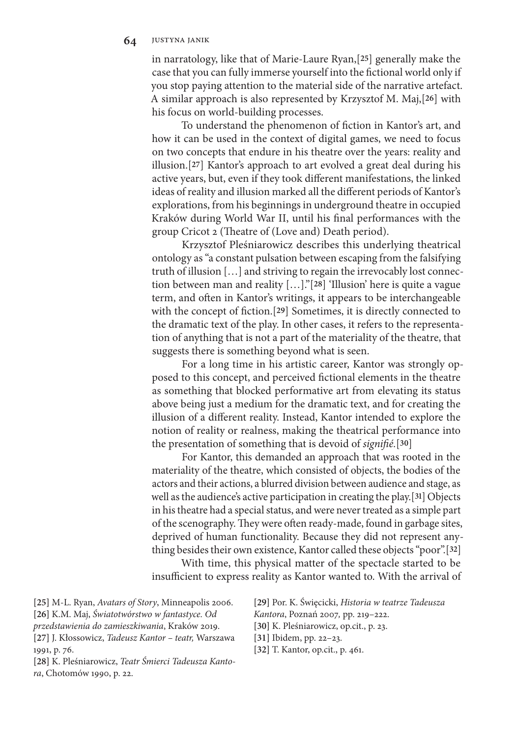in narratology, like that of Marie-Laure Ryan,[**25**] generally make the case that you can fully immerse yourself into the fictional world only if you stop paying attention to the material side of the narrative artefact. A similar approach is also represented by Krzysztof M. Maj,[**26**] with his focus on world-building processes.

To understand the phenomenon of fiction in Kantor's art, and how it can be used in the context of digital games, we need to focus on two concepts that endure in his theatre over the years: reality and illusion.[**27**] Kantor's approach to art evolved a great deal during his active years, but, even if they took different manifestations, the linked ideas of reality and illusion marked all the different periods of Kantor's explorations, from his beginnings in underground theatre in occupied Kraków during World War II, until his final performances with the group Cricot 2 (Theatre of (Love and) Death period).

Krzysztof Pleśniarowicz describes this underlying theatrical ontology as "a constant pulsation between escaping from the falsifying truth of illusion […] and striving to regain the irrevocably lost connection between man and reality […]."[**28**] 'Illusion' here is quite a vague term, and often in Kantor's writings, it appears to be interchangeable with the concept of fiction.[**29**] Sometimes, it is directly connected to the dramatic text of the play. In other cases, it refers to the representation of anything that is not a part of the materiality of the theatre, that suggests there is something beyond what is seen.

For a long time in his artistic career, Kantor was strongly opposed to this concept, and perceived fictional elements in the theatre as something that blocked performative art from elevating its status above being just a medium for the dramatic text, and for creating the illusion of a different reality. Instead, Kantor intended to explore the notion of reality or realness, making the theatrical performance into the presentation of something that is devoid of *signifié.*[**30**]

For Kantor, this demanded an approach that was rooted in the materiality of the theatre, which consisted of objects, the bodies of the actors and their actions, a blurred division between audience and stage, as well as the audience's active participation in creating the play.[**31**] Objects in his theatre had a special status, and were never treated as a simple part of the scenography. They were often ready-made, found in garbage sites, deprived of human functionality. Because they did not represent anything besides their own existence, Kantor called these objects "poor".[**32**]

With time, this physical matter of the spectacle started to be insufficient to express reality as Kantor wanted to. With the arrival of

**[25]** M-L. Ryan, *Avatars of Story*, Minneapolis 2006. **[26]** K.M. Maj, *Światotwórstwo w fantastyce. Od przedstawienia do zamieszkiwania*, Kraków 2019. **[27]** J. Kłossowicz, *Tadeusz Kantor – teatr,* Warszawa 1991, p. 76.

**[28]** K. Pleśniarowicz, *Teatr Śmierci Tadeusza Kantora*, Chotomów 1990, p. 22.

**[29]** Por. K. Święcicki, *Historia w teatrze Tadeusza Kantora*, Poznań 2007*,* pp. 219–222.

**[30]** K. Pleśniarowicz, op.cit., p. 23.

**[31]** Ibidem, pp. 22–23.

**[32]** T. Kantor, op.cit., p. 461.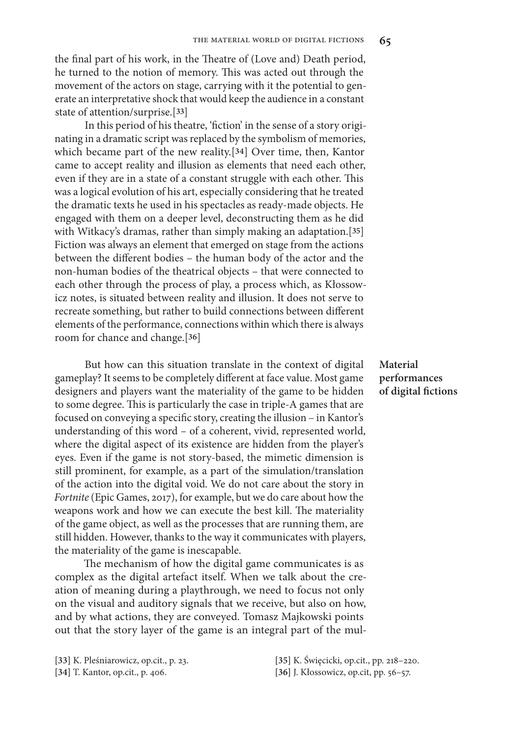the final part of his work, in the Theatre of (Love and) Death period, he turned to the notion of memory. This was acted out through the movement of the actors on stage, carrying with it the potential to generate an interpretative shock that would keep the audience in a constant state of attention/surprise.[**33**]

In this period of his theatre, 'fiction' in the sense of a story originating in a dramatic script was replaced by the symbolism of memories, which became part of the new reality.[**34**] Over time, then, Kantor came to accept reality and illusion as elements that need each other, even if they are in a state of a constant struggle with each other. This was a logical evolution of his art, especially considering that he treated the dramatic texts he used in his spectacles as ready-made objects. He engaged with them on a deeper level, deconstructing them as he did with Witkacy's dramas, rather than simply making an adaptation.[**35**] Fiction was always an element that emerged on stage from the actions between the different bodies – the human body of the actor and the non-human bodies of the theatrical objects – that were connected to each other through the process of play, a process which, as Kłossowicz notes, is situated between reality and illusion. It does not serve to recreate something, but rather to build connections between different elements of the performance, connections within which there is always room for chance and change.[**36**]

But how can this situation translate in the context of digital gameplay? It seems to be completely different at face value. Most game designers and players want the materiality of the game to be hidden to some degree. This is particularly the case in triple-A games that are focused on conveying a specific story, creating the illusion – in Kantor's understanding of this word – of a coherent, vivid, represented world, where the digital aspect of its existence are hidden from the player's eyes. Even if the game is not story-based, the mimetic dimension is still prominent, for example, as a part of the simulation/translation of the action into the digital void. We do not care about the story in *Fortnite* (Epic Games, 2017), for example, but we do care about how the weapons work and how we can execute the best kill. The materiality of the game object, as well as the processes that are running them, are still hidden. However, thanks to the way it communicates with players, the materiality of the game is inescapable.

The mechanism of how the digital game communicates is as complex as the digital artefact itself. When we talk about the creation of meaning during a playthrough, we need to focus not only on the visual and auditory signals that we receive, but also on how, and by what actions, they are conveyed. Tomasz Majkowski points out that the story layer of the game is an integral part of the mul-

**[33]** K. Pleśniarowicz, op.cit., p. 23.

**[34]** T. Kantor, op.cit., p. 406.

## **Material performances of digital fictions**

**[35]** K. Święcicki, op.cit., pp. 218–220. **[36]** J. Kłossowicz, op.cit, pp. 56–57.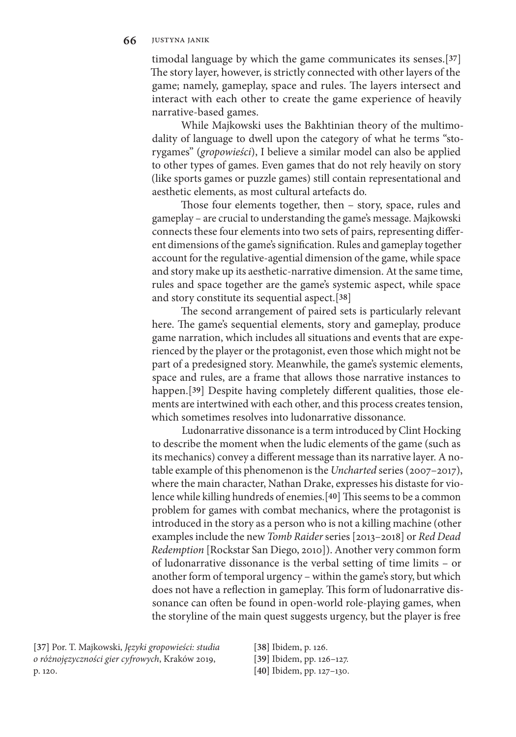timodal language by which the game communicates its senses.[**37**] The story layer, however, is strictly connected with other layers of the game; namely, gameplay, space and rules. The layers intersect and interact with each other to create the game experience of heavily narrative-based games.

While Majkowski uses the Bakhtinian theory of the multimodality of language to dwell upon the category of what he terms "storygames" (*gropowieści*), I believe a similar model can also be applied to other types of games. Even games that do not rely heavily on story (like sports games or puzzle games) still contain representational and aesthetic elements, as most cultural artefacts do.

Those four elements together, then – story, space, rules and gameplay – are crucial to understanding the game's message. Majkowski connects these four elements into two sets of pairs, representing different dimensions of the game's signification. Rules and gameplay together account for the regulative-agential dimension of the game, while space and story make up its aesthetic-narrative dimension. At the same time, rules and space together are the game's systemic aspect, while space and story constitute its sequential aspect.[**38**]

The second arrangement of paired sets is particularly relevant here. The game's sequential elements, story and gameplay, produce game narration, which includes all situations and events that are experienced by the player or the protagonist, even those which might not be part of a predesigned story. Meanwhile, the game's systemic elements, space and rules, are a frame that allows those narrative instances to happen.[**39**] Despite having completely different qualities, those elements are intertwined with each other, and this process creates tension, which sometimes resolves into ludonarrative dissonance.

Ludonarrative dissonance is a term introduced by Clint Hocking to describe the moment when the ludic elements of the game (such as its mechanics) convey a different message than its narrative layer. A notable example of this phenomenon is the *Uncharted* series (2007–2017), where the main character, Nathan Drake, expresses his distaste for violence while killing hundreds of enemies.[**40**] This seems to be a common problem for games with combat mechanics, where the protagonist is introduced in the story as a person who is not a killing machine (other examples include the new *Tomb Raider* series[2013–2018] or *Red Dead Redemption* [Rockstar San Diego, 2010]). Another very common form of ludonarrative dissonance is the verbal setting of time limits – or another form of temporal urgency – within the game's story, but which does not have a reflection in gameplay. This form of ludonarrative dissonance can often be found in open-world role-playing games, when the storyline of the main quest suggests urgency, but the player is free

**[37]** Por. T. Majkowski, *Języki gropowieści: studia o różnojęzyczności gier cyfrowych*, Kraków 2019, p. 120.

**[38]** Ibidem, p. 126.

**[39]** Ibidem, pp. 126–127.

**[40]** Ibidem, pp. 127–130.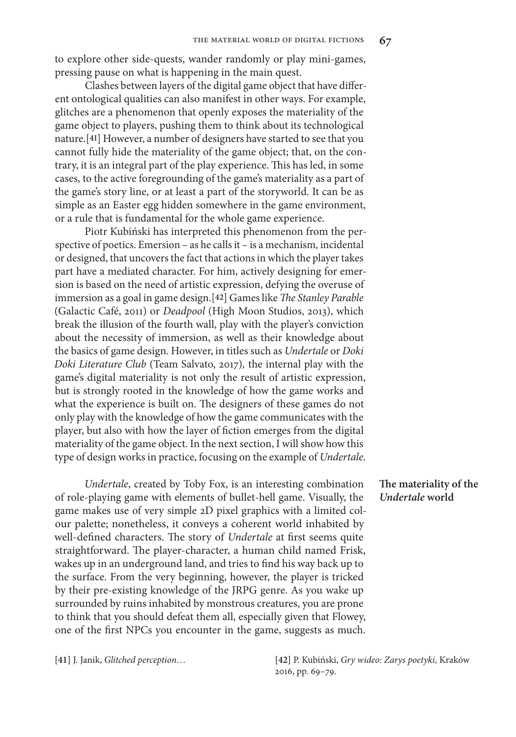to explore other side-quests, wander randomly or play mini-games, pressing pause on what is happening in the main quest.

Clashes between layers of the digital game object that have different ontological qualities can also manifest in other ways. For example, glitches are a phenomenon that openly exposes the materiality of the game object to players, pushing them to think about its technological nature.[**41**] However, a number of designers have started to see that you cannot fully hide the materiality of the game object; that, on the contrary, it is an integral part of the play experience. This has led, in some cases, to the active foregrounding of the game's materiality as a part of the game's story line, or at least a part of the storyworld. It can be as simple as an Easter egg hidden somewhere in the game environment, or a rule that is fundamental for the whole game experience.

Piotr Kubiński has interpreted this phenomenon from the perspective of poetics. Emersion – as he calls it – is a mechanism, incidental or designed, that uncovers the fact that actions in which the player takes part have a mediated character. For him, actively designing for emersion is based on the need of artistic expression, defying the overuse of immersion as a goal in game design.[**42**] Games like *The Stanley Parable* (Galactic Café, 2011) or *Deadpool* (High Moon Studios, 2013), which break the illusion of the fourth wall, play with the player's conviction about the necessity of immersion, as well as their knowledge about the basics of game design. However, in titles such as *Undertale* or *Doki Doki Literature Club* (Team Salvato, 2017)*,* the internal play with the game's digital materiality is not only the result of artistic expression, but is strongly rooted in the knowledge of how the game works and what the experience is built on. The designers of these games do not only play with the knowledge of how the game communicates with the player, but also with how the layer of fiction emerges from the digital materiality of the game object. In the next section, I will show how this type of design works in practice, focusing on the example of *Undertale.*

*Undertale*, created by Toby Fox, is an interesting combination of role-playing game with elements of bullet-hell game. Visually, the game makes use of very simple 2D pixel graphics with a limited colour palette; nonetheless, it conveys a coherent world inhabited by well-defined characters. The story of *Undertale* at first seems quite straightforward. The player-character, a human child named Frisk, wakes up in an underground land, and tries to find his way back up to the surface. From the very beginning, however, the player is tricked by their pre-existing knowledge of the JRPG genre. As you wake up surrounded by ruins inhabited by monstrous creatures, you are prone to think that you should defeat them all, especially given that Flowey, one of the first NPCs you encounter in the game, suggests as much.

**The materiality of the**  *Undertale* **world**

**[41]** J. Janik, *Glitched perception*… **[42]** P. Kubiński, *Gry wideo: Zarys poetyki*, Kraków 2016, pp. 69–79.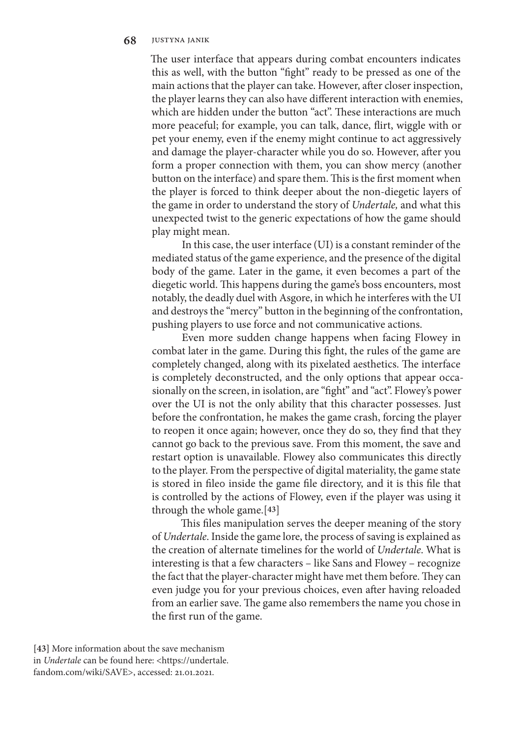#### **68** justyna janik

The user interface that appears during combat encounters indicates this as well, with the button "fight" ready to be pressed as one of the main actions that the player can take. However, after closer inspection, the player learns they can also have different interaction with enemies, which are hidden under the button "act". These interactions are much more peaceful; for example, you can talk, dance, flirt, wiggle with or pet your enemy, even if the enemy might continue to act aggressively and damage the player-character while you do so. However, after you form a proper connection with them, you can show mercy (another button on the interface) and spare them. This is the first moment when the player is forced to think deeper about the non-diegetic layers of the game in order to understand the story of *Undertale,* and what this unexpected twist to the generic expectations of how the game should play might mean.

In this case, the user interface (UI) is a constant reminder of the mediated status of the game experience, and the presence of the digital body of the game. Later in the game, it even becomes a part of the diegetic world. This happens during the game's boss encounters, most notably, the deadly duel with Asgore, in which he interferes with the UI and destroys the "mercy" button in the beginning of the confrontation, pushing players to use force and not communicative actions.

Even more sudden change happens when facing Flowey in combat later in the game. During this fight, the rules of the game are completely changed, along with its pixelated aesthetics. The interface is completely deconstructed, and the only options that appear occasionally on the screen, in isolation, are "fight" and "act". Flowey's power over the UI is not the only ability that this character possesses. Just before the confrontation, he makes the game crash, forcing the player to reopen it once again; however, once they do so, they find that they cannot go back to the previous save. From this moment, the save and restart option is unavailable. Flowey also communicates this directly to the player. From the perspective of digital materiality, the game state is stored in fileo inside the game file directory, and it is this file that is controlled by the actions of Flowey, even if the player was using it through the whole game.[**43**]

This files manipulation serves the deeper meaning of the story of *Undertale*. Inside the game lore, the process of saving is explained as the creation of alternate timelines for the world of *Undertale*. What is interesting is that a few characters – like Sans and Flowey – recognize the fact that the player-character might have met them before. They can even judge you for your previous choices, even after having reloaded from an earlier save. The game also remembers the name you chose in the first run of the game.

**[43]** More information about the save mechanism in *Undertale* can be found here: <https://undertale. fandom.com/wiki/SAVE>, accessed: 21.01.2021.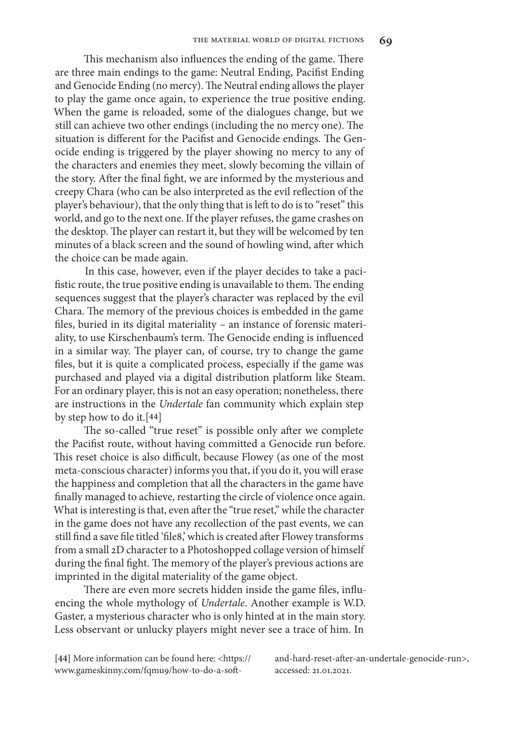This mechanism also influences the ending of the game. There are three main endings to the game: Neutral Ending, Pacifist Ending and Genocide Ending (no mercy). The Neutral ending allows the player to play the game once again, to experience the true positive ending. When the game is reloaded, some of the dialogues change, but we still can achieve two other endings (including the no mercy one). The situation is different for the Pacifist and Genocide endings. The Genocide ending is triggered by the player showing no mercy to any of the characters and enemies they meet, slowly becoming the villain of the story. After the final fight, we are informed by the mysterious and creepy Chara (who can be also interpreted as the evil reflection of the player's behaviour), that the only thing that is left to do is to "reset" this world, and go to the next one. If the player refuses, the game crashes on the desktop. The player can restart it, but they will be welcomed by ten minutes of a black screen and the sound of howling wind, after which the choice can be made again.

In this case, however, even if the player decides to take a pacifistic route, the true positive ending is unavailable to them. The ending sequences suggest that the player's character was replaced by the evil Chara. The memory of the previous choices is embedded in the game files, buried in its digital materiality – an instance of forensic materiality, to use Kirschenbaum's term. The Genocide ending is influenced in a similar way. The player can, of course, try to change the game files, but it is quite a complicated process, especially if the game was purchased and played via a digital distribution platform like Steam. For an ordinary player, this is not an easy operation; nonetheless, there are instructions in the *Undertale* fan community which explain step by step how to do it.[**44**]

The so-called "true reset" is possible only after we complete the Pacifist route, without having committed a Genocide run before. This reset choice is also difficult, because Flowey (as one of the most meta-conscious character) informs you that, if you do it, you will erase the happiness and completion that all the characters in the game have finally managed to achieve, restarting the circle of violence once again. What is interesting is that, even after the "true reset," while the character in the game does not have any recollection of the past events, we can still find a save file titled 'file8,' which is created after Flowey transforms from a small 2D character to a Photoshopped collage version of himself during the final fight. The memory of the player's previous actions are imprinted in the digital materiality of the game object.

There are even more secrets hidden inside the game files, influencing the whole mythology of *Undertale*. Another example is W.D. Gaster, a mysterious character who is only hinted at in the main story. Less observant or unlucky players might never see a trace of him. In

**[44]** More information can be found here: <https:// www.gameskinny.com/fqmu9/how-to-do-a-softand-hard-reset-after-an-undertale-genocide-run>, accessed: 21.01.2021.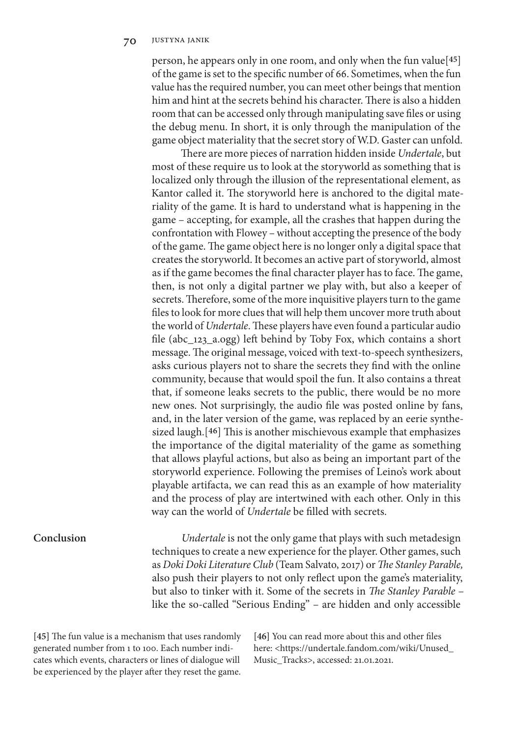person, he appears only in one room, and only when the fun value[**45**] of the game is set to the specific number of 66. Sometimes, when the fun value has the required number, you can meet other beings that mention him and hint at the secrets behind his character. There is also a hidden room that can be accessed only through manipulating save files or using the debug menu. In short, it is only through the manipulation of the game object materiality that the secret story of W.D. Gaster can unfold.

There are more pieces of narration hidden inside *Undertale*, but most of these require us to look at the storyworld as something that is localized only through the illusion of the representational element, as Kantor called it. The storyworld here is anchored to the digital materiality of the game. It is hard to understand what is happening in the game – accepting, for example, all the crashes that happen during the confrontation with Flowey – without accepting the presence of the body of the game. The game object here is no longer only a digital space that creates the storyworld. It becomes an active part of storyworld, almost as if the game becomes the final character player has to face. The game, then, is not only a digital partner we play with, but also a keeper of secrets. Therefore, some of the more inquisitive players turn to the game files to look for more clues that will help them uncover more truth about the world of *Undertale*. These players have even found a particular audio file (abc\_123\_a.ogg) left behind by Toby Fox, which contains a short message. The original message, voiced with text-to-speech synthesizers, asks curious players not to share the secrets they find with the online community, because that would spoil the fun. It also contains a threat that, if someone leaks secrets to the public, there would be no more new ones. Not surprisingly, the audio file was posted online by fans, and, in the later version of the game, was replaced by an eerie synthesized laugh.[**46**] This is another mischievous example that emphasizes the importance of the digital materiality of the game as something that allows playful actions, but also as being an important part of the storyworld experience. Following the premises of Leino's work about playable artifacta, we can read this as an example of how materiality and the process of play are intertwined with each other. Only in this way can the world of *Undertale* be filled with secrets.

### **Conclusion**

*Undertale* is not the only game that plays with such metadesign techniques to create a new experience for the player. Other games, such as *Doki Doki Literature Club* (Team Salvato, 2017) or *The Stanley Parable,*  also push their players to not only reflect upon the game's materiality, but also to tinker with it. Some of the secrets in *The Stanley Parable* – like the so-called "Serious Ending" – are hidden and only accessible

**[45]** The fun value is a mechanism that uses randomly generated number from 1 to 100. Each number indicates which events, characters or lines of dialogue will be experienced by the player after they reset the game.

**[46]** You can read more about this and other files here: <https://undertale.fandom.com/wiki/Unused\_ Music\_Tracks>, accessed: 21.01.2021.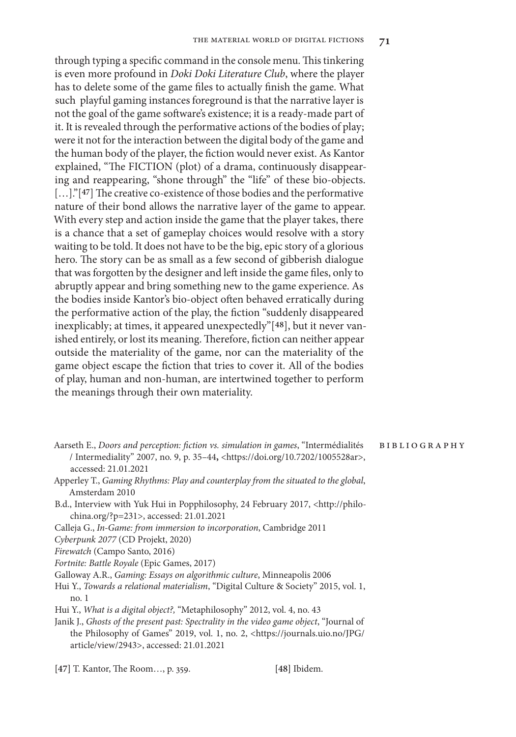through typing a specific command in the console menu. This tinkering is even more profound in *Doki Doki Literature Club*, where the player has to delete some of the game files to actually finish the game. What such playful gaming instances foreground is that the narrative layer is not the goal of the game software's existence; it is a ready-made part of it. It is revealed through the performative actions of the bodies of play; were it not for the interaction between the digital body of the game and the human body of the player, the fiction would never exist. As Kantor explained, "The FICTION (plot) of a drama, continuously disappearing and reappearing, "shone through" the "life" of these bio-objects. [...]."<sup>[47]</sup> The creative co-existence of those bodies and the performative nature of their bond allows the narrative layer of the game to appear. With every step and action inside the game that the player takes, there is a chance that a set of gameplay choices would resolve with a story waiting to be told. It does not have to be the big, epic story of a glorious hero. The story can be as small as a few second of gibberish dialogue that was forgotten by the designer and left inside the game files, only to abruptly appear and bring something new to the game experience. As the bodies inside Kantor's bio-object often behaved erratically during the performative action of the play, the fiction "suddenly disappeared inexplicably; at times, it appeared unexpectedly"[**48**], but it never vanished entirely, or lost its meaning. Therefore, fiction can neither appear outside the materiality of the game, nor can the materiality of the game object escape the fiction that tries to cover it. All of the bodies of play, human and non-human, are intertwined together to perform the meanings through their own materiality.

- Aarseth E., *Doors and perception: fiction vs. simulation in games*, "Intermédialités / Intermediality" 2007, no. 9, p. 35–44**,** <https://doi.org/10.7202/1005528ar>, accessed: 21.01.2021
- Apperley T., *Gaming Rhythms: Play and counterplay from the situated to the global*, Amsterdam 2010
- B.d., Interview with Yuk Hui in Popphilosophy, 24 February 2017, <http://philochina.org/?p=231>, accessed: 21.01.2021
- Calleja G., *In-Game: from immersion to incorporation*, Cambridge 2011

*Cyberpunk 2077* (CD Projekt, 2020)

*Firewatch* (Campo Santo, 2016)

- *Fortnite: Battle Royale* (Epic Games, 2017)
- Galloway A.R., *Gaming: Essays on algorithmic culture*, Minneapolis 2006
- Hui Y., *Towards a relational materialism*, "Digital Culture & Society" 2015, vol. 1, no. 1
- Hui Y., *What is a digital object?,* "Metaphilosophy" 2012, vol. 4, no. 43
- Janik J., *Ghosts of the present past: Spectrality in the video game object*, "Journal of the Philosophy of Games" 2019, vol. 1, no. 2, <https://journals.uio.no/JPG/ article/view/2943>, accessed: 21.01.2021

**[47]** T. Kantor, The Room…, p. 359. **[48]** Ibidem.

bibliography